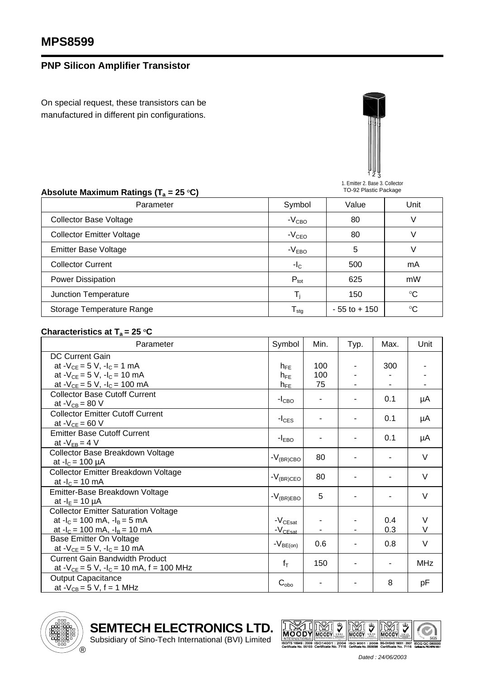## **PNP Silicon Amplifier Transistor**

On special request, these transistors can be manufactured in different pin configurations.



1. Emitter 2. Base 3. Collector TO-92 Plastic Package

| Absolute Maximum Ratings ( $T_a = 25 \degree C$ ) | TO-92 Plastic Package      |                 |             |  |
|---------------------------------------------------|----------------------------|-----------------|-------------|--|
| Parameter                                         | Symbol                     | Value           | Unit        |  |
| <b>Collector Base Voltage</b>                     | $-VCBO$                    | 80              |             |  |
| <b>Collector Emitter Voltage</b>                  | $-VCEO$                    | 80              |             |  |
| <b>Emitter Base Voltage</b>                       | $-VEBO$                    | 5               |             |  |
| <b>Collector Current</b>                          | $-IC$                      | 500             | mA          |  |
| Power Dissipation                                 | $P_{\text{tot}}$           | 625             | mW          |  |
| Junction Temperature                              |                            | 150             | $^{\circ}C$ |  |
| Storage Temperature Range                         | ${\mathsf T}_{\text{stg}}$ | $-55$ to $+150$ | $^{\circ}C$ |  |

## **Characteristics at T<sub>a</sub> = 25 °C**

| Parameter                                         | Symbol             | Min. | Typ. | Max. | Unit   |
|---------------------------------------------------|--------------------|------|------|------|--------|
| <b>DC Current Gain</b>                            |                    |      |      |      |        |
| at $-V_{CE} = 5 V$ , $-I_C = 1 mA$                | $h_{FE}$           | 100  |      | 300  |        |
| at $-V_{CE} = 5 V$ , $-I_C = 10 mA$               | $h_{FF}$           | 100  |      |      |        |
| at $-V_{CE} = 5 V$ , $-I_C = 100 mA$              | $h_{FE}$           | 75   |      |      |        |
| <b>Collector Base Cutoff Current</b>              |                    |      |      | 0.1  |        |
| at - $V_{CB} = 80 V$                              | $-I_{CBO}$         |      |      |      | μA     |
| <b>Collector Emitter Cutoff Current</b>           |                    |      |      |      |        |
| at $-V_{CE} = 60 V$                               | $-I_{CES}$         |      |      | 0.1  | μA     |
| <b>Emitter Base Cutoff Current</b>                |                    |      |      |      |        |
| at $-V_{EB} = 4 V$                                | $-IEBO$            |      |      | 0.1  | μA     |
| Collector Base Breakdown Voltage                  |                    |      |      |      |        |
| at $-I_c = 100 \mu A$                             | $-V_{\rm (BR)CBO}$ | 80   |      |      | V      |
| Collector Emitter Breakdown Voltage               |                    |      |      |      | $\vee$ |
| at $-I_c = 10$ mA                                 | $-V_{\rm (BR)CEO}$ | 80   |      |      |        |
| Emitter-Base Breakdown Voltage                    |                    |      |      |      | $\vee$ |
| at $-I_E = 10 \mu A$                              | $-V_{(BR)EBO}$     | 5    |      |      |        |
| <b>Collector Emitter Saturation Voltage</b>       |                    |      |      |      |        |
| at $-I_c = 100$ mA, $-I_B = 5$ mA                 | $-V_{\rm CEsat}$   |      |      | 0.4  | V      |
| at $-I_c = 100$ mA, $-I_B = 10$ mA                | $-V_{\rm CEsat}$   |      |      | 0.3  | $\vee$ |
| <b>Base Emitter On Voltage</b>                    |                    | 0.6  |      | 0.8  | $\vee$ |
| at $-V_{CE} = 5 V$ , $-I_C = 10 mA$               | $-V_{BE(on)}$      |      |      |      |        |
| <b>Current Gain Bandwidth Product</b>             | $f_T$              | 150  | ۰    |      | MHz    |
| at $-V_{CE} = 5 V$ , $-I_C = 10 mA$ , f = 100 MHz |                    |      |      |      |        |
| <b>Output Capacitance</b>                         |                    |      |      | 8    |        |
| at $-V_{CB} = 5 V$ , f = 1 MHz                    | $C_{\text{obo}}$   |      |      |      | рF     |



**SEMTECH ELECTRONICS LTD.**

Subsidiary of Sino-Tech International (BVI) Limited